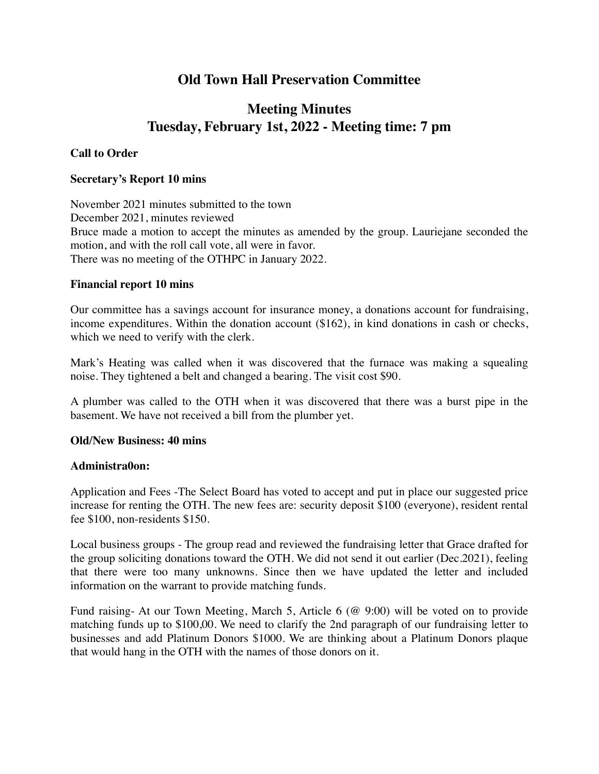## **Old Town Hall Preservation Committee**

# **Meeting Minutes Tuesday, February 1st, 2022 - Meeting time: 7 pm**

### **Call to Order**

#### **Secretary's Report 10 mins**

November 2021 minutes submitted to the town December 2021, minutes reviewed Bruce made a motion to accept the minutes as amended by the group. Lauriejane seconded the motion, and with the roll call vote, all were in favor. There was no meeting of the OTHPC in January 2022.

#### **Financial report 10 mins**

Our committee has a savings account for insurance money, a donations account for fundraising, income expenditures. Within the donation account (\$162), in kind donations in cash or checks, which we need to verify with the clerk.

Mark's Heating was called when it was discovered that the furnace was making a squealing noise. They tightened a belt and changed a bearing. The visit cost \$90.

A plumber was called to the OTH when it was discovered that there was a burst pipe in the basement. We have not received a bill from the plumber yet.

#### **Old/New Business: 40 mins**

#### **Administra0on:**

Application and Fees -The Select Board has voted to accept and put in place our suggested price increase for renting the OTH. The new fees are: security deposit \$100 (everyone), resident rental fee \$100, non-residents \$150.

Local business groups - The group read and reviewed the fundraising letter that Grace drafted for the group soliciting donations toward the OTH. We did not send it out earlier (Dec.2021), feeling that there were too many unknowns. Since then we have updated the letter and included information on the warrant to provide matching funds.

Fund raising- At our Town Meeting, March 5, Article 6 (@ 9:00) will be voted on to provide matching funds up to \$100,00. We need to clarify the 2nd paragraph of our fundraising letter to businesses and add Platinum Donors \$1000. We are thinking about a Platinum Donors plaque that would hang in the OTH with the names of those donors on it.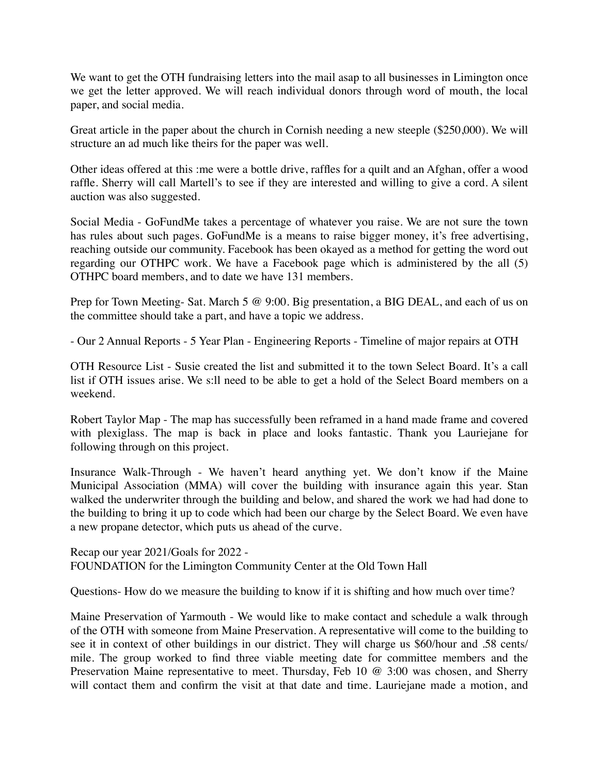We want to get the OTH fundraising letters into the mail asap to all businesses in Limington once we get the letter approved. We will reach individual donors through word of mouth, the local paper, and social media.

Great article in the paper about the church in Cornish needing a new steeple (\$250,000). We will structure an ad much like theirs for the paper was well.

Other ideas offered at this :me were a bottle drive, raffles for a quilt and an Afghan, offer a wood raffle. Sherry will call Martell's to see if they are interested and willing to give a cord. A silent auction was also suggested.

Social Media - GoFundMe takes a percentage of whatever you raise. We are not sure the town has rules about such pages. GoFundMe is a means to raise bigger money, it's free advertising, reaching outside our community. Facebook has been okayed as a method for getting the word out regarding our OTHPC work. We have a Facebook page which is administered by the all (5) OTHPC board members, and to date we have 131 members.

Prep for Town Meeting- Sat. March 5 @ 9:00. Big presentation, a BIG DEAL, and each of us on the committee should take a part, and have a topic we address.

- Our 2 Annual Reports - 5 Year Plan - Engineering Reports - Timeline of major repairs at OTH

OTH Resource List - Susie created the list and submitted it to the town Select Board. It's a call list if OTH issues arise. We s:ll need to be able to get a hold of the Select Board members on a weekend.

Robert Taylor Map - The map has successfully been reframed in a hand made frame and covered with plexiglass. The map is back in place and looks fantastic. Thank you Lauriejane for following through on this project.

Insurance Walk-Through - We haven't heard anything yet. We don't know if the Maine Municipal Association (MMA) will cover the building with insurance again this year. Stan walked the underwriter through the building and below, and shared the work we had had done to the building to bring it up to code which had been our charge by the Select Board. We even have a new propane detector, which puts us ahead of the curve.

Recap our year 2021/Goals for 2022 - FOUNDATION for the Limington Community Center at the Old Town Hall

Questions- How do we measure the building to know if it is shifting and how much over time?

Maine Preservation of Yarmouth - We would like to make contact and schedule a walk through of the OTH with someone from Maine Preservation. A representative will come to the building to see it in context of other buildings in our district. They will charge us \$60/hour and .58 cents/ mile. The group worked to find three viable meeting date for committee members and the Preservation Maine representative to meet. Thursday, Feb 10 @ 3:00 was chosen, and Sherry will contact them and confirm the visit at that date and time. Lauriejane made a motion, and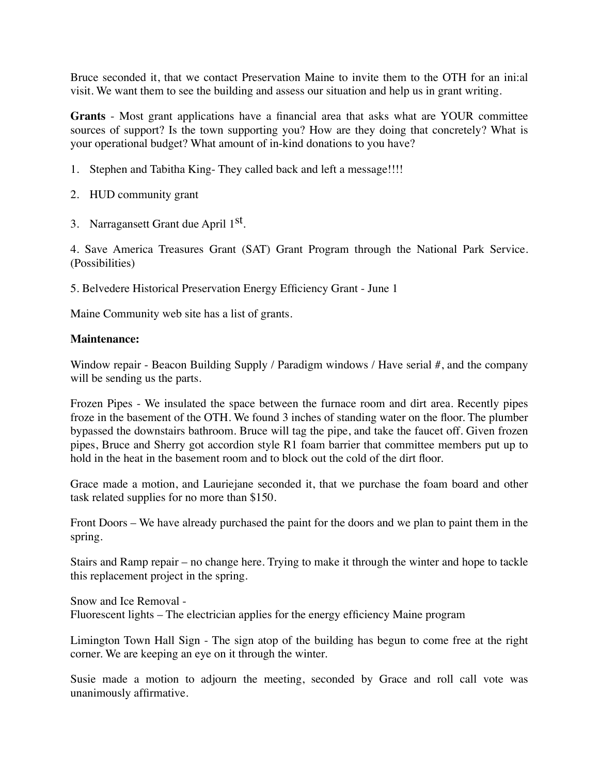Bruce seconded it, that we contact Preservation Maine to invite them to the OTH for an ini:al visit. We want them to see the building and assess our situation and help us in grant writing.

**Grants** - Most grant applications have a financial area that asks what are YOUR committee sources of support? Is the town supporting you? How are they doing that concretely? What is your operational budget? What amount of in-kind donations to you have?

- 1. Stephen and Tabitha King- They called back and left a message!!!!
- 2. HUD community grant
- 3. Narragansett Grant due April 1st.

4. Save America Treasures Grant (SAT) Grant Program through the National Park Service. (Possibilities)

5. Belvedere Historical Preservation Energy Efficiency Grant - June 1

Maine Community web site has a list of grants.

#### **Maintenance:**

Window repair - Beacon Building Supply / Paradigm windows / Have serial #, and the company will be sending us the parts.

Frozen Pipes - We insulated the space between the furnace room and dirt area. Recently pipes froze in the basement of the OTH. We found 3 inches of standing water on the floor. The plumber bypassed the downstairs bathroom. Bruce will tag the pipe, and take the faucet off. Given frozen pipes, Bruce and Sherry got accordion style R1 foam barrier that committee members put up to hold in the heat in the basement room and to block out the cold of the dirt floor.

Grace made a motion, and Lauriejane seconded it, that we purchase the foam board and other task related supplies for no more than \$150.

Front Doors – We have already purchased the paint for the doors and we plan to paint them in the spring.

Stairs and Ramp repair – no change here. Trying to make it through the winter and hope to tackle this replacement project in the spring.

Snow and Ice Removal - Fluorescent lights – The electrician applies for the energy efficiency Maine program

Limington Town Hall Sign - The sign atop of the building has begun to come free at the right corner. We are keeping an eye on it through the winter.

Susie made a motion to adjourn the meeting, seconded by Grace and roll call vote was unanimously affirmative.